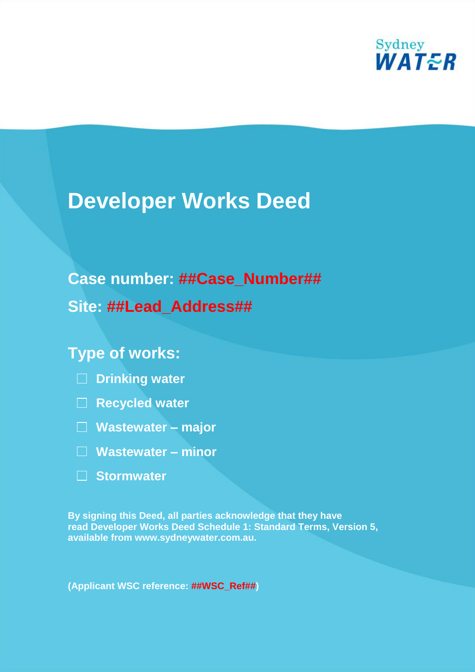

# **Developer Works Deed**

## **Case number: ##Case\_Number##**

**Site: ##Lead\_Address##**

## **Type of works:**

- **Drinking water**
- **Recycled water**
- **Wastewater – major**
- **Wastewater – minor**
- **Stormwater**

**By signing this Deed, all parties acknowledge that they have read Developer Works Deed Schedule 1: Standard Terms, Version 5, available from www.sydneywater.com.au.**

**(Applicant WSC reference: ##WSC\_Ref##)**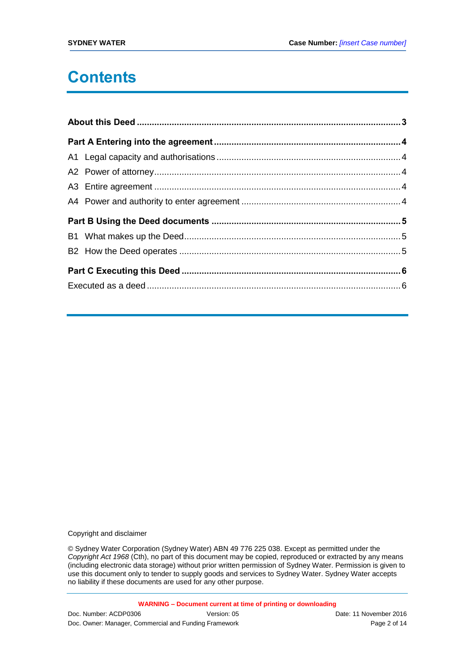## **Contents**

Copyright and disclaimer

© Sydney Water Corporation (Sydney Water) ABN 49 776 225 038. Except as permitted under the *Copyright Act 1968* (Cth), no part of this document may be copied, reproduced or extracted by any means (including electronic data storage) without prior written permission of Sydney Water. Permission is given to use this document only to tender to supply goods and services to Sydney Water. Sydney Water accepts no liability if these documents are used for any other purpose.

**WARNING – Document current at time of printing or downloading**

Doc. Number: ACDP0306 Version: 05 Version: 05 Date: 11 November 2016 Doc. Owner: Manager, Commercial and Funding Framework **Page 2 of 14** Page 2 of 14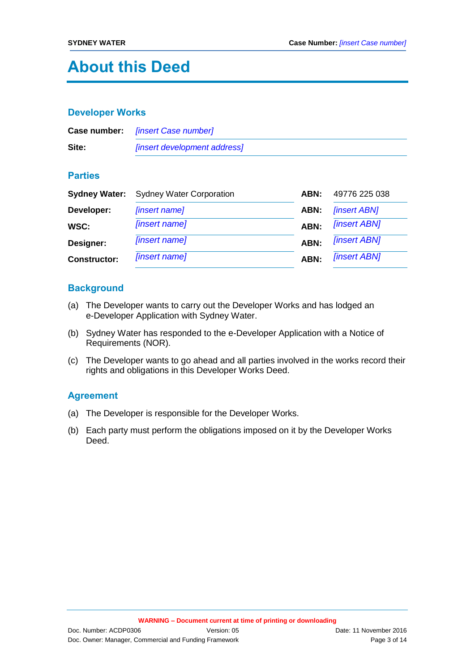## **About this Deed**

#### **Developer Works**

|       | <b>Case number:</b> [insert Case number]   |
|-------|--------------------------------------------|
| Site: | <i><b>[insert development address]</b></i> |

### **Parties**

| <b>Sydney Water:</b> | <b>Sydney Water Corporation</b> | ABN: | 49776 225 038              |
|----------------------|---------------------------------|------|----------------------------|
| Developer:           | [insert name]                   | ABN: | <b><i>[insert ABN]</i></b> |
| WSC:                 | [insert name]                   | ABN: | <b><i>[insert ABN]</i></b> |
| Designer:            | [insert name]                   | ABN: | <b>[insert ABN]</b>        |
| <b>Constructor:</b>  | [insert name]                   | ABN: | <b><i>[insert ABN]</i></b> |

### **Background**

- (a) The Developer wants to carry out the Developer Works and has lodged an e-Developer Application with Sydney Water.
- (b) Sydney Water has responded to the e-Developer Application with a Notice of Requirements (NOR).
- (c) The Developer wants to go ahead and all parties involved in the works record their rights and obligations in this Developer Works Deed.

### **Agreement**

- (a) The Developer is responsible for the Developer Works.
- (b) Each party must perform the obligations imposed on it by the Developer Works Deed.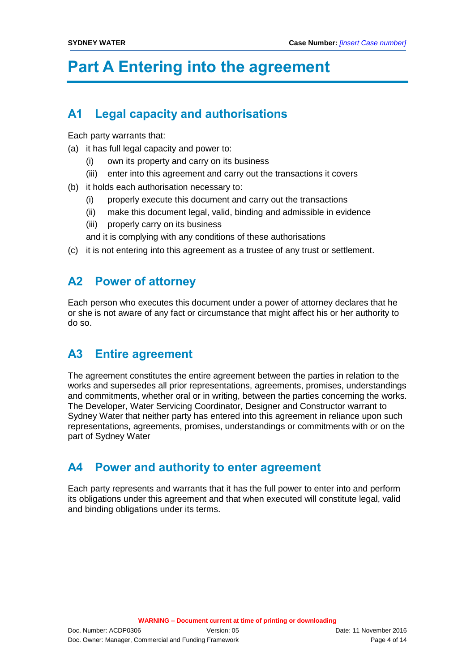## **Part A Entering into the agreement**

## **A1 Legal capacity and authorisations**

Each party warrants that:

- (a) it has full legal capacity and power to:
	- (i) own its property and carry on its business
	- (iii) enter into this agreement and carry out the transactions it covers
- (b) it holds each authorisation necessary to:
	- (i) properly execute this document and carry out the transactions
	- (ii) make this document legal, valid, binding and admissible in evidence
	- (iii) properly carry on its business
	- and it is complying with any conditions of these authorisations
- (c) it is not entering into this agreement as a trustee of any trust or settlement.

## **A2 Power of attorney**

Each person who executes this document under a power of attorney declares that he or she is not aware of any fact or circumstance that might affect his or her authority to do so.

## **A3 Entire agreement**

The agreement constitutes the entire agreement between the parties in relation to the works and supersedes all prior representations, agreements, promises, understandings and commitments, whether oral or in writing, between the parties concerning the works. The Developer, Water Servicing Coordinator, Designer and Constructor warrant to Sydney Water that neither party has entered into this agreement in reliance upon such representations, agreements, promises, understandings or commitments with or on the part of Sydney Water

## **A4 Power and authority to enter agreement**

Each party represents and warrants that it has the full power to enter into and perform its obligations under this agreement and that when executed will constitute legal, valid and binding obligations under its terms.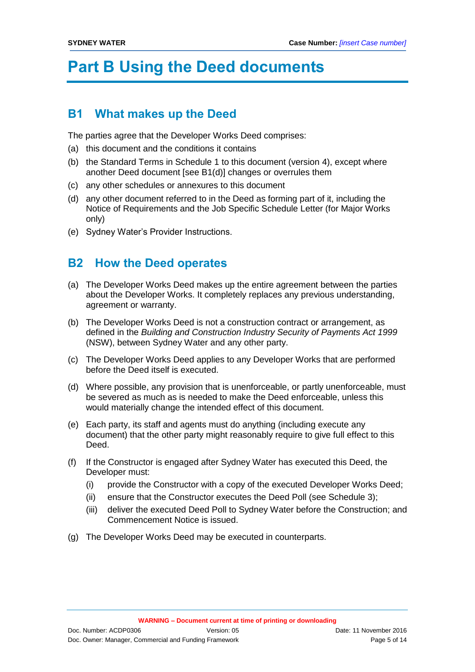## **Part B Using the Deed documents**

## **B1 What makes up the Deed**

The parties agree that the Developer Works Deed comprises:

- (a) this document and the conditions it contains
- (b) the Standard Terms in Schedule 1 to this document (version 4), except where another Deed document [see B1(d)] changes or overrules them
- (c) any other schedules or annexures to this document
- (d) any other document referred to in the Deed as forming part of it, including the Notice of Requirements and the Job Specific Schedule Letter (for Major Works only)
- (e) Sydney Water's Provider Instructions.

## **B2 How the Deed operates**

- (a) The Developer Works Deed makes up the entire agreement between the parties about the Developer Works. It completely replaces any previous understanding, agreement or warranty.
- (b) The Developer Works Deed is not a construction contract or arrangement, as defined in the *Building and Construction Industry Security of Payments Act 1999*  (NSW), between Sydney Water and any other party.
- (c) The Developer Works Deed applies to any Developer Works that are performed before the Deed itself is executed.
- (d) Where possible, any provision that is unenforceable, or partly unenforceable, must be severed as much as is needed to make the Deed enforceable, unless this would materially change the intended effect of this document.
- (e) Each party, its staff and agents must do anything (including execute any document) that the other party might reasonably require to give full effect to this Deed.
- (f) If the Constructor is engaged after Sydney Water has executed this Deed, the Developer must:
	- (i) provide the Constructor with a copy of the executed Developer Works Deed;
	- (ii) ensure that the Constructor executes the Deed Poll (see Schedule 3);
	- (iii) deliver the executed Deed Poll to Sydney Water before the Construction; and Commencement Notice is issued.
- (g) The Developer Works Deed may be executed in counterparts.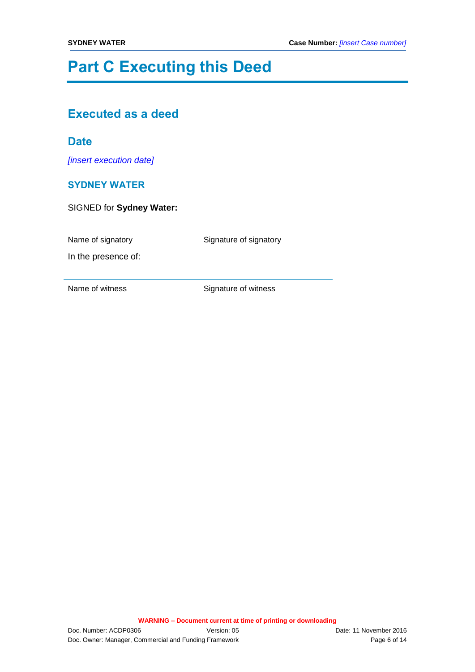## **Part C Executing this Deed**

## **Executed as a deed**

### **Date**

*[insert execution date]*

### **SYDNEY WATER**

SIGNED for **Sydney Water:**

Name of signatory **Signature of signatory** 

In the presence of: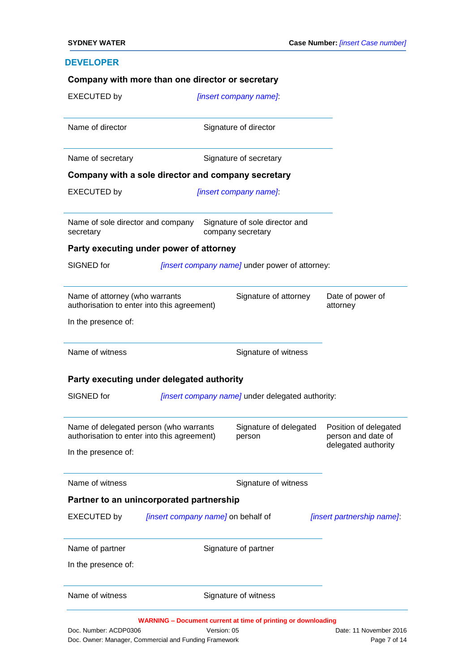### **DEVELOPER**

|                                                |                                                                                       | [insert company name]                               |                                             |
|------------------------------------------------|---------------------------------------------------------------------------------------|-----------------------------------------------------|---------------------------------------------|
| Name of director                               |                                                                                       | Signature of director                               |                                             |
| Name of secretary                              |                                                                                       | Signature of secretary                              |                                             |
|                                                | Company with a sole director and company secretary                                    |                                                     |                                             |
| <b>EXECUTED by</b>                             |                                                                                       | [insert company name]                               |                                             |
| Name of sole director and company<br>secretary |                                                                                       | Signature of sole director and<br>company secretary |                                             |
|                                                | Party executing under power of attorney                                               |                                                     |                                             |
| SIGNED for                                     |                                                                                       | [insert company name] under power of attorney:      |                                             |
| Name of attorney (who warrants                 | authorisation to enter into this agreement)                                           | Signature of attorney                               | Date of power of<br>attorney                |
| In the presence of:                            |                                                                                       |                                                     |                                             |
|                                                |                                                                                       |                                                     |                                             |
| Name of witness                                |                                                                                       | Signature of witness                                |                                             |
|                                                | Party executing under delegated authority                                             |                                                     |                                             |
| SIGNED for                                     |                                                                                       | [insert company name] under delegated authority:    |                                             |
|                                                | Name of delegated person (who warrants<br>authorisation to enter into this agreement) | Signature of delegated<br>person                    | Position of delegated<br>person and date of |
| In the presence of:                            |                                                                                       |                                                     | delegated authority                         |
| Name of witness                                |                                                                                       | Signature of witness                                |                                             |
|                                                | Partner to an unincorporated partnership                                              |                                                     |                                             |
| <b>EXECUTED by</b>                             | [insert company name] on behalf of                                                    |                                                     | [insert partnership name].                  |
| Name of partner                                |                                                                                       | Signature of partner                                |                                             |
| In the presence of:                            |                                                                                       |                                                     |                                             |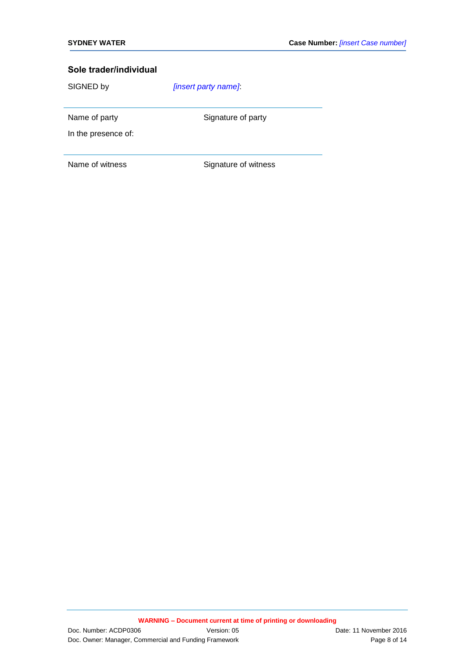SIGNED by *[insert party name]*:

Name of party Signature of party

In the presence of: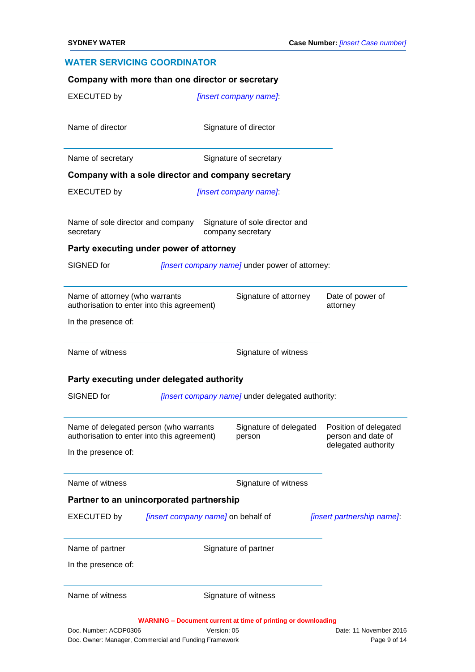#### **WATER SERVICING COORDINATOR**

|                                                |                                                                                       | <i><b>[insert company name]</b></i>                 |                                             |
|------------------------------------------------|---------------------------------------------------------------------------------------|-----------------------------------------------------|---------------------------------------------|
| Name of director                               |                                                                                       | Signature of director                               |                                             |
| Name of secretary                              |                                                                                       | Signature of secretary                              |                                             |
|                                                | Company with a sole director and company secretary                                    |                                                     |                                             |
| <b>EXECUTED by</b>                             |                                                                                       | [insert company name]                               |                                             |
| Name of sole director and company<br>secretary |                                                                                       | Signature of sole director and<br>company secretary |                                             |
|                                                | Party executing under power of attorney                                               |                                                     |                                             |
| SIGNED for                                     |                                                                                       | [insert company name] under power of attorney:      |                                             |
| Name of attorney (who warrants                 | authorisation to enter into this agreement)                                           | Signature of attorney                               | Date of power of<br>attorney                |
| In the presence of:                            |                                                                                       |                                                     |                                             |
|                                                |                                                                                       |                                                     |                                             |
| Name of witness                                |                                                                                       | Signature of witness                                |                                             |
|                                                | Party executing under delegated authority                                             |                                                     |                                             |
| SIGNED for                                     |                                                                                       | [insert company name] under delegated authority:    |                                             |
|                                                | Name of delegated person (who warrants<br>authorisation to enter into this agreement) | Signature of delegated<br>person                    | Position of delegated<br>person and date of |
| In the presence of:                            |                                                                                       |                                                     | delegated authority                         |
| Name of witness                                |                                                                                       | Signature of witness                                |                                             |
|                                                | Partner to an unincorporated partnership                                              |                                                     |                                             |
| <b>EXECUTED by</b>                             | [insert company name] on behalf of                                                    |                                                     | [insert partnership name].                  |
| Name of partner                                |                                                                                       | Signature of partner                                |                                             |
| In the presence of:                            |                                                                                       |                                                     |                                             |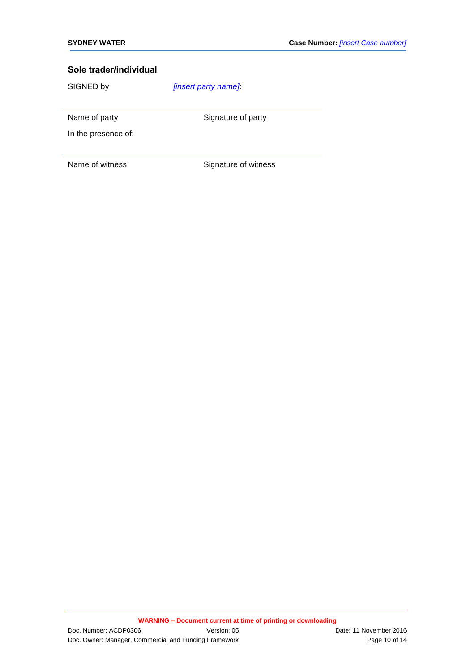SIGNED by *[insert party name]*:

Name of party Signature of party

In the presence of: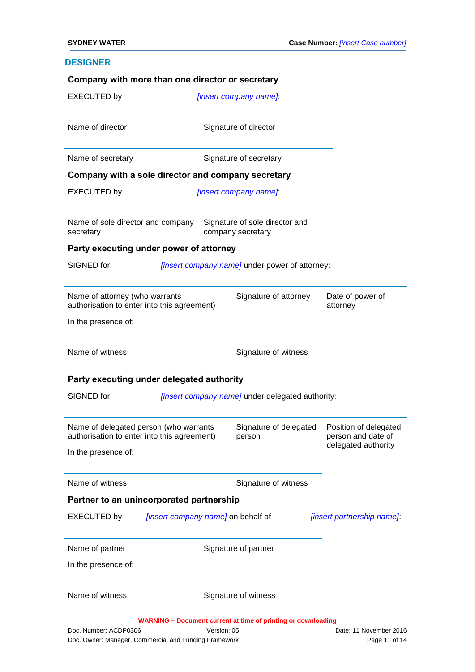### **DESIGNER**

| Name of director                                                                                                     |                                                                                       |                                                     |                                             |
|----------------------------------------------------------------------------------------------------------------------|---------------------------------------------------------------------------------------|-----------------------------------------------------|---------------------------------------------|
|                                                                                                                      |                                                                                       | Signature of director                               |                                             |
| Name of secretary                                                                                                    |                                                                                       | Signature of secretary                              |                                             |
|                                                                                                                      | Company with a sole director and company secretary                                    |                                                     |                                             |
| <b>EXECUTED by</b>                                                                                                   |                                                                                       | [insert company name]                               |                                             |
| Name of sole director and company<br>secretary                                                                       |                                                                                       | Signature of sole director and<br>company secretary |                                             |
|                                                                                                                      | Party executing under power of attorney                                               |                                                     |                                             |
| SIGNED for                                                                                                           |                                                                                       | [insert company name] under power of attorney:      |                                             |
| Name of attorney (who warrants                                                                                       | authorisation to enter into this agreement)                                           | Signature of attorney                               | Date of power of<br>attorney                |
| In the presence of:                                                                                                  |                                                                                       |                                                     |                                             |
| Name of witness                                                                                                      |                                                                                       | Signature of witness                                |                                             |
|                                                                                                                      |                                                                                       |                                                     |                                             |
|                                                                                                                      | Party executing under delegated authority                                             |                                                     |                                             |
|                                                                                                                      |                                                                                       | [insert company name] under delegated authority:    |                                             |
|                                                                                                                      | Name of delegated person (who warrants<br>authorisation to enter into this agreement) | Signature of delegated<br>person                    | Position of delegated<br>person and date of |
|                                                                                                                      |                                                                                       |                                                     | delegated authority                         |
|                                                                                                                      |                                                                                       | Signature of witness                                |                                             |
|                                                                                                                      | Partner to an unincorporated partnership                                              |                                                     |                                             |
|                                                                                                                      | [insert company name] on behalf of                                                    |                                                     | [insert partnership name].                  |
|                                                                                                                      |                                                                                       | Signature of partner                                |                                             |
| SIGNED for<br>In the presence of:<br>Name of witness<br><b>EXECUTED by</b><br>Name of partner<br>In the presence of: |                                                                                       |                                                     |                                             |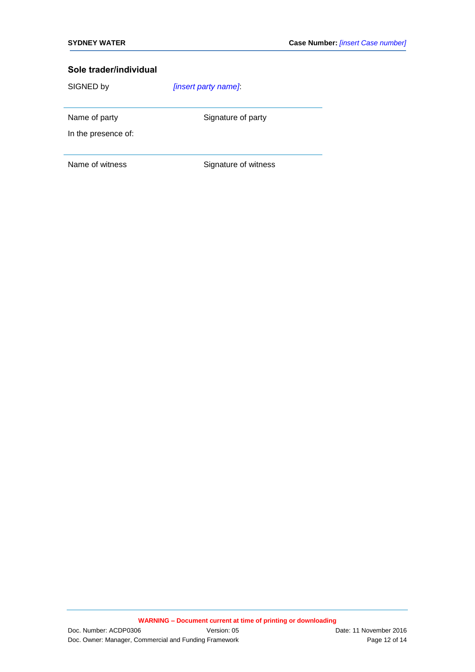SIGNED by *[insert party name]*:

Name of party Signature of party

In the presence of: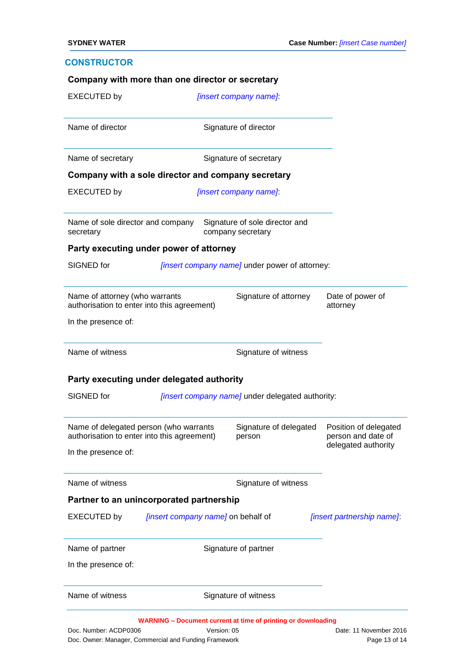### **CONSTRUCTOR**

|                                                |                                                                                       | [insert company name]                               |                                             |
|------------------------------------------------|---------------------------------------------------------------------------------------|-----------------------------------------------------|---------------------------------------------|
| Name of director                               |                                                                                       | Signature of director                               |                                             |
| Name of secretary                              |                                                                                       | Signature of secretary                              |                                             |
|                                                | Company with a sole director and company secretary                                    |                                                     |                                             |
| <b>EXECUTED by</b>                             |                                                                                       | [insert company name]                               |                                             |
| Name of sole director and company<br>secretary |                                                                                       | Signature of sole director and<br>company secretary |                                             |
|                                                | Party executing under power of attorney                                               |                                                     |                                             |
| SIGNED for                                     |                                                                                       | [insert company name] under power of attorney:      |                                             |
| Name of attorney (who warrants                 | authorisation to enter into this agreement)                                           | Signature of attorney                               | Date of power of<br>attorney                |
| In the presence of:                            |                                                                                       |                                                     |                                             |
|                                                |                                                                                       |                                                     |                                             |
| Name of witness                                |                                                                                       | Signature of witness                                |                                             |
|                                                | Party executing under delegated authority                                             |                                                     |                                             |
| SIGNED for                                     |                                                                                       | [insert company name] under delegated authority:    |                                             |
|                                                | Name of delegated person (who warrants<br>authorisation to enter into this agreement) | Signature of delegated<br>person                    | Position of delegated<br>person and date of |
| In the presence of:                            |                                                                                       |                                                     | delegated authority                         |
| Name of witness                                |                                                                                       | Signature of witness                                |                                             |
|                                                | Partner to an unincorporated partnership                                              |                                                     |                                             |
| <b>EXECUTED by</b>                             | [insert company name] on behalf of                                                    |                                                     | [insert partnership name].                  |
| Name of partner                                |                                                                                       | Signature of partner                                |                                             |
| In the presence of:                            |                                                                                       |                                                     |                                             |